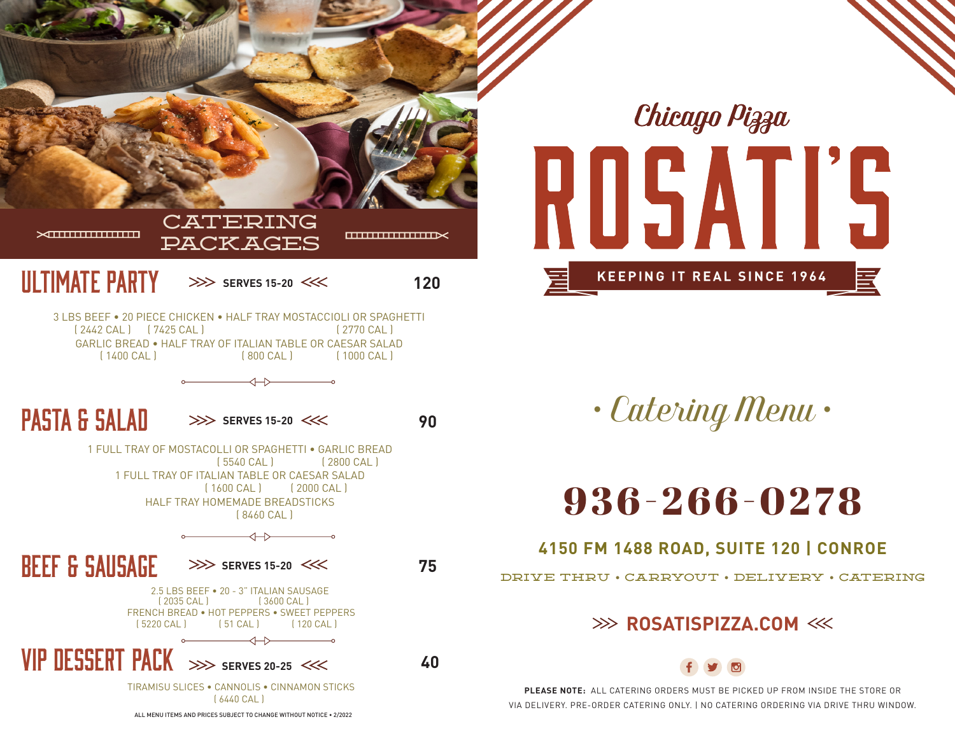

Chicago Pizza ROSATIS **KEEPING IT REAL SINCE 1964** 

*• Catering Menu •*

# 9 3 6 - 2 6 6 - 0 2 7 8

### **4150 FM 1488 ROAD, SUITE 120 | CONROE**

DRIVE THRU • CARRYOUT • DELIVERY • CATERING

## **EXAMPLE ROSATISPIZZA.COM**



**PLEASE NOTE:** ALL CATERING ORDERS MUST BE PICKED UP FROM INSIDE THE STORE OR VIA DELIVERY. PRE-ORDER CATERING ONLY. | NO CATERING ORDERING VIA DRIVE THRU WINDOW.